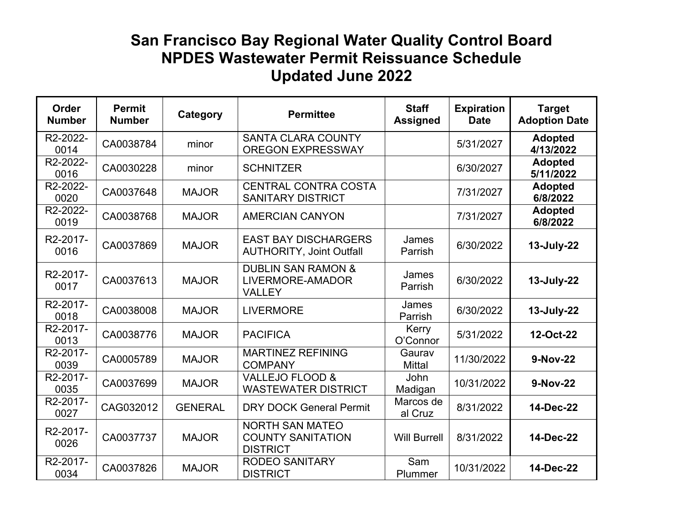## **San Francisco Bay Regional Water Quality Control Board NPDES Wastewater Permit Reissuance Schedule Updated June 2022**

| <b>Order</b><br><b>Number</b> | <b>Permit</b><br><b>Number</b> | Category       | <b>Permittee</b>                                                      | <b>Staff</b><br><b>Assigned</b> | <b>Expiration</b><br><b>Date</b> | <b>Target</b><br><b>Adoption Date</b> |
|-------------------------------|--------------------------------|----------------|-----------------------------------------------------------------------|---------------------------------|----------------------------------|---------------------------------------|
| R2-2022-<br>0014              | CA0038784                      | minor          | <b>SANTA CLARA COUNTY</b><br><b>OREGON EXPRESSWAY</b>                 |                                 | 5/31/2027                        | <b>Adopted</b><br>4/13/2022           |
| R2-2022-<br>0016              | CA0030228                      | minor          | <b>SCHNITZER</b>                                                      |                                 | 6/30/2027                        | <b>Adopted</b><br>5/11/2022           |
| R2-2022-<br>0020              | CA0037648                      | <b>MAJOR</b>   | <b>CENTRAL CONTRA COSTA</b><br><b>SANITARY DISTRICT</b>               |                                 | 7/31/2027                        | <b>Adopted</b><br>6/8/2022            |
| R2-2022-<br>0019              | CA0038768                      | <b>MAJOR</b>   | <b>AMERCIAN CANYON</b>                                                |                                 | 7/31/2027                        | <b>Adopted</b><br>6/8/2022            |
| R2-2017-<br>0016              | CA0037869                      | <b>MAJOR</b>   | <b>EAST BAY DISCHARGERS</b><br><b>AUTHORITY, Joint Outfall</b>        | James<br>Parrish                | 6/30/2022                        | 13-July-22                            |
| R2-2017-<br>0017              | CA0037613                      | <b>MAJOR</b>   | <b>DUBLIN SAN RAMON &amp;</b><br>LIVERMORE-AMADOR<br><b>VALLEY</b>    | James<br>Parrish                | 6/30/2022                        | 13-July-22                            |
| R2-2017-<br>0018              | CA0038008                      | <b>MAJOR</b>   | <b>LIVERMORE</b>                                                      | James<br>Parrish                | 6/30/2022                        | 13-July-22                            |
| R2-2017-<br>0013              | CA0038776                      | <b>MAJOR</b>   | <b>PACIFICA</b>                                                       | Kerry<br>O'Connor               | 5/31/2022                        | 12-Oct-22                             |
| R2-2017-<br>0039              | CA0005789                      | <b>MAJOR</b>   | <b>MARTINEZ REFINING</b><br><b>COMPANY</b>                            | Gaurav<br><b>Mittal</b>         | 11/30/2022                       | 9-Nov-22                              |
| R2-2017-<br>0035              | CA0037699                      | <b>MAJOR</b>   | <b>VALLEJO FLOOD &amp;</b><br><b>WASTEWATER DISTRICT</b>              | John<br>Madigan                 | 10/31/2022                       | 9-Nov-22                              |
| R2-2017-<br>0027              | CAG032012                      | <b>GENERAL</b> | <b>DRY DOCK General Permit</b>                                        | Marcos de<br>al Cruz            | 8/31/2022                        | 14-Dec-22                             |
| R2-2017-<br>0026              | CA0037737                      | <b>MAJOR</b>   | <b>NORTH SAN MATEO</b><br><b>COUNTY SANITATION</b><br><b>DISTRICT</b> | <b>Will Burrell</b>             | 8/31/2022                        | 14-Dec-22                             |
| R2-2017-<br>0034              | CA0037826                      | <b>MAJOR</b>   | <b>RODEO SANITARY</b><br><b>DISTRICT</b>                              | Sam<br>Plummer                  | 10/31/2022                       | 14-Dec-22                             |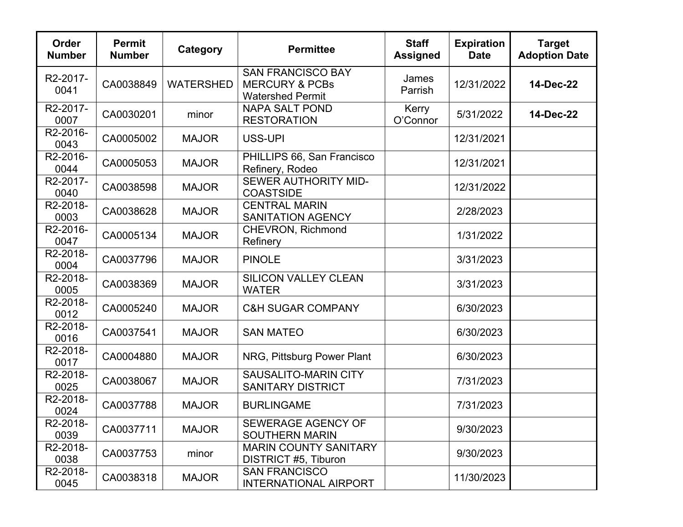| Order<br><b>Number</b> | <b>Permit</b><br><b>Number</b> | Category         | <b>Permittee</b>                                                                 | <b>Staff</b><br><b>Assigned</b> | <b>Expiration</b><br><b>Date</b> | <b>Target</b><br><b>Adoption Date</b> |
|------------------------|--------------------------------|------------------|----------------------------------------------------------------------------------|---------------------------------|----------------------------------|---------------------------------------|
| R2-2017-<br>0041       | CA0038849                      | <b>WATERSHED</b> | <b>SAN FRANCISCO BAY</b><br><b>MERCURY &amp; PCBs</b><br><b>Watershed Permit</b> | James<br>Parrish                | 12/31/2022                       | 14-Dec-22                             |
| R2-2017-<br>0007       | CA0030201                      | minor            | <b>NAPA SALT POND</b><br><b>RESTORATION</b>                                      | Kerry<br>O'Connor               | 5/31/2022                        | 14-Dec-22                             |
| R2-2016-<br>0043       | CA0005002                      | <b>MAJOR</b>     | USS-UPI                                                                          |                                 | 12/31/2021                       |                                       |
| R2-2016-<br>0044       | CA0005053                      | <b>MAJOR</b>     | PHILLIPS 66, San Francisco<br>Refinery, Rodeo                                    |                                 | 12/31/2021                       |                                       |
| R2-2017-<br>0040       | CA0038598                      | <b>MAJOR</b>     | SEWER AUTHORITY MID-<br><b>COASTSIDE</b>                                         |                                 | 12/31/2022                       |                                       |
| R2-2018-<br>0003       | CA0038628                      | <b>MAJOR</b>     | <b>CENTRAL MARIN</b><br><b>SANITATION AGENCY</b>                                 |                                 | 2/28/2023                        |                                       |
| R2-2016-<br>0047       | CA0005134                      | <b>MAJOR</b>     | <b>CHEVRON, Richmond</b><br>Refinery                                             |                                 | 1/31/2022                        |                                       |
| R2-2018-<br>0004       | CA0037796                      | <b>MAJOR</b>     | <b>PINOLE</b>                                                                    |                                 | 3/31/2023                        |                                       |
| R2-2018-<br>0005       | CA0038369                      | <b>MAJOR</b>     | <b>SILICON VALLEY CLEAN</b><br><b>WATER</b>                                      |                                 | 3/31/2023                        |                                       |
| R2-2018-<br>0012       | CA0005240                      | <b>MAJOR</b>     | <b>C&amp;H SUGAR COMPANY</b>                                                     |                                 | 6/30/2023                        |                                       |
| R2-2018-<br>0016       | CA0037541                      | <b>MAJOR</b>     | <b>SAN MATEO</b>                                                                 |                                 | 6/30/2023                        |                                       |
| R2-2018-<br>0017       | CA0004880                      | <b>MAJOR</b>     | NRG, Pittsburg Power Plant                                                       |                                 | 6/30/2023                        |                                       |
| R2-2018-<br>0025       | CA0038067                      | <b>MAJOR</b>     | <b>SAUSALITO-MARIN CITY</b><br><b>SANITARY DISTRICT</b>                          |                                 | 7/31/2023                        |                                       |
| R2-2018-<br>0024       | CA0037788                      | <b>MAJOR</b>     | <b>BURLINGAME</b>                                                                |                                 | 7/31/2023                        |                                       |
| R2-2018-<br>0039       | CA0037711                      | <b>MAJOR</b>     | <b>SEWERAGE AGENCY OF</b><br><b>SOUTHERN MARIN</b>                               |                                 | 9/30/2023                        |                                       |
| R2-2018-<br>0038       | CA0037753                      | minor            | <b>MARIN COUNTY SANITARY</b><br>DISTRICT #5, Tiburon                             |                                 | 9/30/2023                        |                                       |
| R2-2018-<br>0045       | CA0038318                      | <b>MAJOR</b>     | <b>SAN FRANCISCO</b><br><b>INTERNATIONAL AIRPORT</b>                             |                                 | 11/30/2023                       |                                       |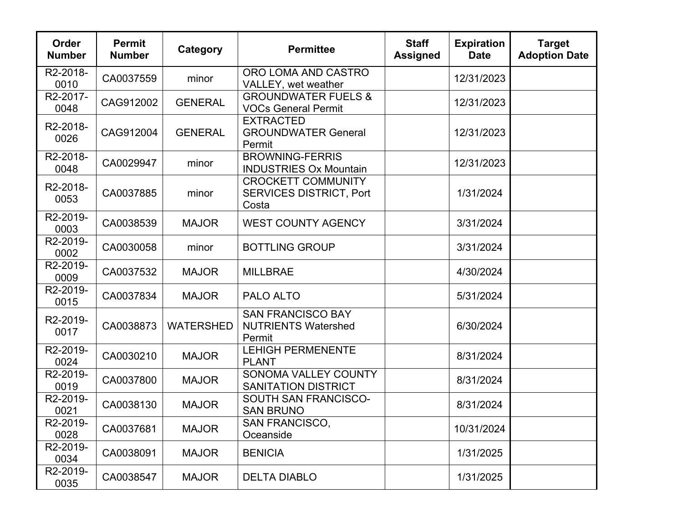| <b>Order</b><br><b>Number</b> | <b>Permit</b><br><b>Number</b> | Category         | <b>Permittee</b>                                                     | <b>Staff</b><br><b>Assigned</b> | <b>Expiration</b><br><b>Date</b> | <b>Target</b><br><b>Adoption Date</b> |
|-------------------------------|--------------------------------|------------------|----------------------------------------------------------------------|---------------------------------|----------------------------------|---------------------------------------|
| R2-2018-<br>0010              | CA0037559                      | minor            | ORO LOMA AND CASTRO<br>VALLEY, wet weather                           |                                 | 12/31/2023                       |                                       |
| R2-2017-<br>0048              | CAG912002                      | <b>GENERAL</b>   | <b>GROUNDWATER FUELS &amp;</b><br><b>VOCs General Permit</b>         |                                 | 12/31/2023                       |                                       |
| R2-2018-<br>0026              | CAG912004                      | <b>GENERAL</b>   | <b>EXTRACTED</b><br><b>GROUNDWATER General</b><br>Permit             |                                 | 12/31/2023                       |                                       |
| R2-2018-<br>0048              | CA0029947                      | minor            | <b>BROWNING-FERRIS</b><br><b>INDUSTRIES Ox Mountain</b>              |                                 | 12/31/2023                       |                                       |
| R2-2018-<br>0053              | CA0037885                      | minor            | <b>CROCKETT COMMUNITY</b><br><b>SERVICES DISTRICT, Port</b><br>Costa |                                 | 1/31/2024                        |                                       |
| R2-2019-<br>0003              | CA0038539                      | <b>MAJOR</b>     | <b>WEST COUNTY AGENCY</b>                                            |                                 | 3/31/2024                        |                                       |
| R2-2019-<br>0002              | CA0030058                      | minor            | <b>BOTTLING GROUP</b>                                                |                                 | 3/31/2024                        |                                       |
| R2-2019-<br>0009              | CA0037532                      | <b>MAJOR</b>     | <b>MILLBRAE</b>                                                      |                                 | 4/30/2024                        |                                       |
| R2-2019-<br>0015              | CA0037834                      | <b>MAJOR</b>     | PALO ALTO                                                            |                                 | 5/31/2024                        |                                       |
| R2-2019-<br>0017              | CA0038873                      | <b>WATERSHED</b> | <b>SAN FRANCISCO BAY</b><br><b>NUTRIENTS Watershed</b><br>Permit     |                                 | 6/30/2024                        |                                       |
| R2-2019-<br>0024              | CA0030210                      | <b>MAJOR</b>     | <b>LEHIGH PERMENENTE</b><br><b>PLANT</b>                             |                                 | 8/31/2024                        |                                       |
| R2-2019-<br>0019              | CA0037800                      | <b>MAJOR</b>     | SONOMA VALLEY COUNTY<br><b>SANITATION DISTRICT</b>                   |                                 | 8/31/2024                        |                                       |
| R2-2019-<br>0021              | CA0038130                      | <b>MAJOR</b>     | SOUTH SAN FRANCISCO-<br><b>SAN BRUNO</b>                             |                                 | 8/31/2024                        |                                       |
| R2-2019-<br>0028              | CA0037681                      | <b>MAJOR</b>     | <b>SAN FRANCISCO,</b><br>Oceanside                                   |                                 | 10/31/2024                       |                                       |
| R2-2019-<br>0034              | CA0038091                      | <b>MAJOR</b>     | <b>BENICIA</b>                                                       |                                 | 1/31/2025                        |                                       |
| R2-2019-<br>0035              | CA0038547                      | <b>MAJOR</b>     | <b>DELTA DIABLO</b>                                                  |                                 | 1/31/2025                        |                                       |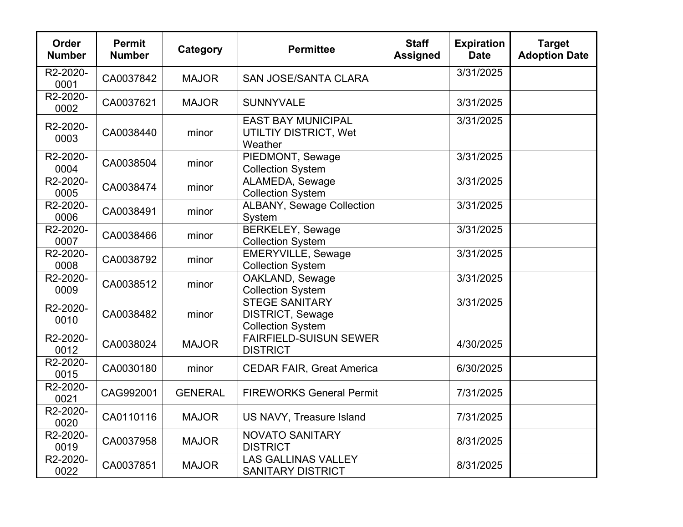| <b>Order</b><br><b>Number</b> | <b>Permit</b><br><b>Number</b> | Category       | <b>Permittee</b>                                                             | <b>Staff</b><br><b>Assigned</b> | <b>Expiration</b><br><b>Date</b> | <b>Target</b><br><b>Adoption Date</b> |
|-------------------------------|--------------------------------|----------------|------------------------------------------------------------------------------|---------------------------------|----------------------------------|---------------------------------------|
| R2-2020-<br>0001              | CA0037842                      | <b>MAJOR</b>   | <b>SAN JOSE/SANTA CLARA</b>                                                  |                                 | 3/31/2025                        |                                       |
| R2-2020-<br>0002              | CA0037621                      | <b>MAJOR</b>   | <b>SUNNYVALE</b>                                                             |                                 | 3/31/2025                        |                                       |
| R2-2020-<br>0003              | CA0038440                      | minor          | <b>EAST BAY MUNICIPAL</b><br>UTILTIY DISTRICT, Wet<br>Weather                |                                 | 3/31/2025                        |                                       |
| R2-2020-<br>0004              | CA0038504                      | minor          | PIEDMONT, Sewage<br><b>Collection System</b>                                 |                                 | 3/31/2025                        |                                       |
| R2-2020-<br>0005              | CA0038474                      | minor          | ALAMEDA, Sewage<br><b>Collection System</b>                                  |                                 | 3/31/2025                        |                                       |
| R2-2020-<br>0006              | CA0038491                      | minor          | <b>ALBANY, Sewage Collection</b><br>System                                   |                                 | 3/31/2025                        |                                       |
| R2-2020-<br>0007              | CA0038466                      | minor          | <b>BERKELEY, Sewage</b><br><b>Collection System</b>                          |                                 | 3/31/2025                        |                                       |
| R2-2020-<br>0008              | CA0038792                      | minor          | <b>EMERYVILLE, Sewage</b><br><b>Collection System</b>                        |                                 | 3/31/2025                        |                                       |
| R2-2020-<br>0009              | CA0038512                      | minor          | OAKLAND, Sewage<br><b>Collection System</b>                                  |                                 | 3/31/2025                        |                                       |
| R2-2020-<br>0010              | CA0038482                      | minor          | <b>STEGE SANITARY</b><br><b>DISTRICT, Sewage</b><br><b>Collection System</b> |                                 | 3/31/2025                        |                                       |
| R2-2020-<br>0012              | CA0038024                      | <b>MAJOR</b>   | <b>FAIRFIELD-SUISUN SEWER</b><br><b>DISTRICT</b>                             |                                 | 4/30/2025                        |                                       |
| R2-2020-<br>0015              | CA0030180                      | minor          | <b>CEDAR FAIR, Great America</b>                                             |                                 | 6/30/2025                        |                                       |
| R2-2020-<br>0021              | CAG992001                      | <b>GENERAL</b> | <b>FIREWORKS General Permit</b>                                              |                                 | 7/31/2025                        |                                       |
| R2-2020-<br>0020              | CA0110116                      | <b>MAJOR</b>   | US NAVY, Treasure Island                                                     |                                 | 7/31/2025                        |                                       |
| R <sub>2</sub> -2020-<br>0019 | CA0037958                      | <b>MAJOR</b>   | <b>NOVATO SANITARY</b><br><b>DISTRICT</b>                                    |                                 | 8/31/2025                        |                                       |
| R2-2020-<br>0022              | CA0037851                      | <b>MAJOR</b>   | <b>LAS GALLINAS VALLEY</b><br><b>SANITARY DISTRICT</b>                       |                                 | 8/31/2025                        |                                       |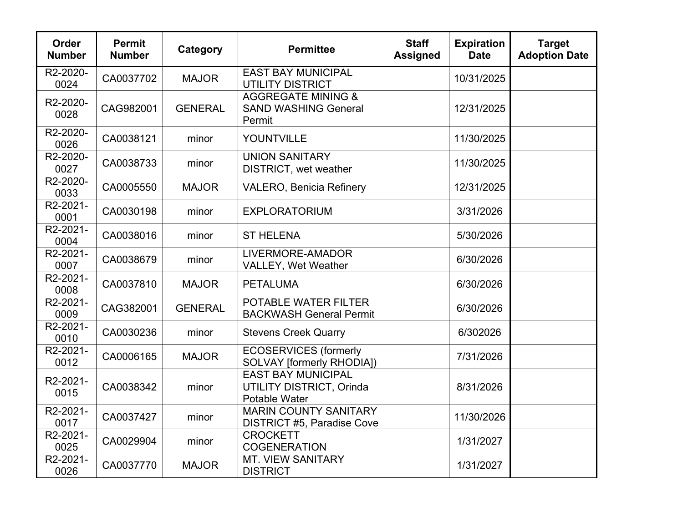| <b>Order</b><br><b>Number</b> | <b>Permit</b><br><b>Number</b> | Category       | <b>Permittee</b>                                                       | <b>Staff</b><br><b>Assigned</b> | <b>Expiration</b><br><b>Date</b> | <b>Target</b><br><b>Adoption Date</b> |
|-------------------------------|--------------------------------|----------------|------------------------------------------------------------------------|---------------------------------|----------------------------------|---------------------------------------|
| R2-2020-<br>0024              | CA0037702                      | <b>MAJOR</b>   | <b>EAST BAY MUNICIPAL</b><br><b>UTILITY DISTRICT</b>                   |                                 | 10/31/2025                       |                                       |
| R2-2020-<br>0028              | CAG982001                      | <b>GENERAL</b> | <b>AGGREGATE MINING &amp;</b><br><b>SAND WASHING General</b><br>Permit |                                 | 12/31/2025                       |                                       |
| R2-2020-<br>0026              | CA0038121                      | minor          | YOUNTVILLE                                                             |                                 | 11/30/2025                       |                                       |
| R2-2020-<br>0027              | CA0038733                      | minor          | <b>UNION SANITARY</b><br><b>DISTRICT, wet weather</b>                  |                                 | 11/30/2025                       |                                       |
| R2-2020-<br>0033              | CA0005550                      | <b>MAJOR</b>   | <b>VALERO, Benicia Refinery</b>                                        |                                 | 12/31/2025                       |                                       |
| R2-2021-<br>0001              | CA0030198                      | minor          | <b>EXPLORATORIUM</b>                                                   |                                 | 3/31/2026                        |                                       |
| R2-2021-<br>0004              | CA0038016                      | minor          | <b>ST HELENA</b>                                                       |                                 | 5/30/2026                        |                                       |
| R2-2021-<br>0007              | CA0038679                      | minor          | LIVERMORE-AMADOR<br><b>VALLEY, Wet Weather</b>                         |                                 | 6/30/2026                        |                                       |
| R2-2021-<br>0008              | CA0037810                      | <b>MAJOR</b>   | <b>PETALUMA</b>                                                        |                                 | 6/30/2026                        |                                       |
| R2-2021-<br>0009              | CAG382001                      | <b>GENERAL</b> | POTABLE WATER FILTER<br><b>BACKWASH General Permit</b>                 |                                 | 6/30/2026                        |                                       |
| R2-2021-<br>0010              | CA0030236                      | minor          | <b>Stevens Creek Quarry</b>                                            |                                 | 6/302026                         |                                       |
| R2-2021-<br>0012              | CA0006165                      | <b>MAJOR</b>   | <b>ECOSERVICES</b> (formerly<br><b>SOLVAY [formerly RHODIA])</b>       |                                 | 7/31/2026                        |                                       |
| R2-2021-<br>0015              | CA0038342                      | minor          | <b>EAST BAY MUNICIPAL</b><br>UTILITY DISTRICT, Orinda<br>Potable Water |                                 | 8/31/2026                        |                                       |
| R2-2021-<br>0017              | CA0037427                      | minor          | <b>MARIN COUNTY SANITARY</b><br><b>DISTRICT #5, Paradise Cove</b>      |                                 | 11/30/2026                       |                                       |
| R2-2021-<br>0025              | CA0029904                      | minor          | <b>CROCKETT</b><br><b>COGENERATION</b>                                 |                                 | 1/31/2027                        |                                       |
| R2-2021-<br>0026              | CA0037770                      | <b>MAJOR</b>   | <b>MT. VIEW SANITARY</b><br><b>DISTRICT</b>                            |                                 | 1/31/2027                        |                                       |